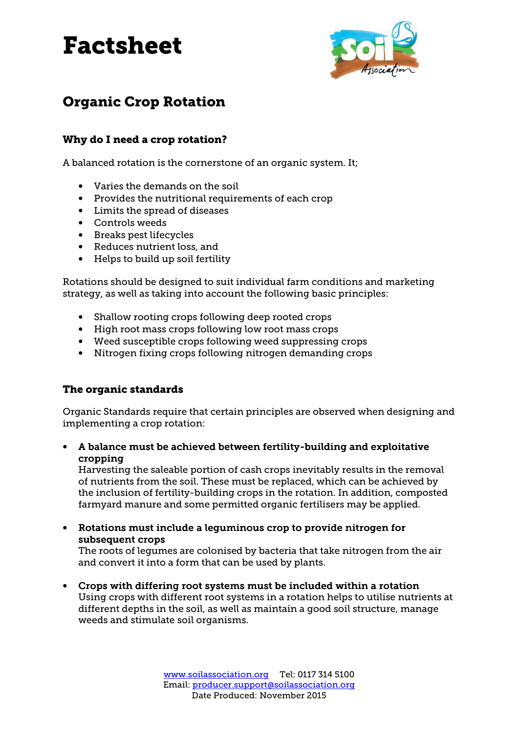

# Organic Crop Rotation

## Why do I need a crop rotation?

A balanced rotation is the cornerstone of an organic system. It;

- Varies the demands on the soil
- Provides the nutritional requirements of each crop
- Limits the spread of diseases
- Controls weeds
- Breaks pest lifecycles
- Reduces nutrient loss, and
- Helps to build up soil fertility

Rotations should be designed to suit individual farm conditions and marketing strategy, as well as taking into account the following basic principles:

- Shallow rooting crops following deep rooted crops
- High root mass crops following low root mass crops
- Weed susceptible crops following weed suppressing crops
- Nitrogen fixing crops following nitrogen demanding crops

#### The organic standards

Organic Standards require that certain principles are observed when designing and implementing a crop rotation:

• A balance must be achieved between fertility-building and exploitative cropping cropping

Harvesting the saleable portion of cash crops inevitably results in the removal of nutrients from the soil. These must be replaced, which can be achieved by the inclusion of fertility-building crops in the rotation. In addition, composted farmyard manure and some permitted organic fertilisers may be applied.

• Rotations must include a leguminous crop to provide nitrogen for subsequent crops

The roots of legumes are colonised by bacteria that take nitrogen from the air and convert it into a form that can be used by plants.

• Crops with differing root systems must be included within a rotation Using crops with different root systems in a rotation helps to utilise nutrients at different depths in the soil, as well as maintain a good soil structure, manage weeds and stimulate soil organisms.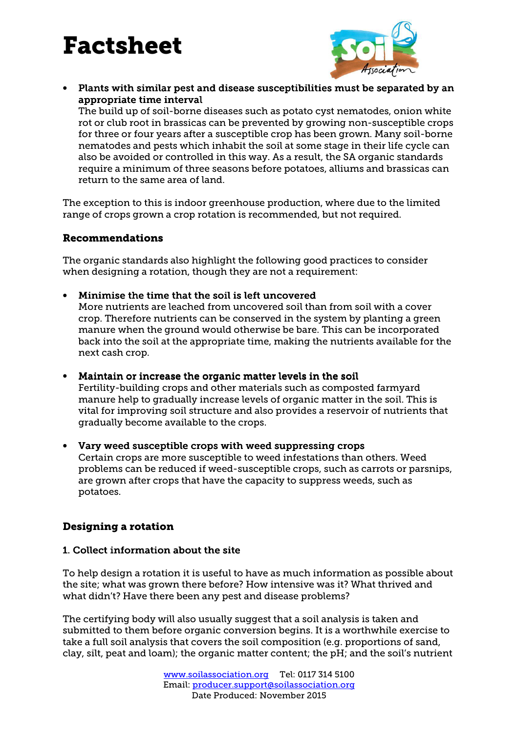

• Plants with similar pest and disease susceptibilities must be separated by an appropriate time interval appropriate time interval

The build up of soil-borne diseases such as potato cyst nematodes, onion white rot or club root in brassicas can be prevented by growing non-susceptible crops for three or four years after a susceptible crop has been grown. Many soil-borne nematodes and pests which inhabit the soil at some stage in their life cycle can also be avoided or controlled in this way. As a result, the SA organic standards require a minimum of three seasons before potatoes, alliums and brassicas can return to the same area of land.

The exception to this is indoor greenhouse production, where due to the limited range of crops grown a crop rotation is recommended, but not required.

#### Recommendations

The organic standards also highlight the following good practices to consider when designing a rotation, though they are not a requirement:

#### • Minimise the time that the soil is left uncovered

More nutrients are leached from uncovered soil than from soil with a cover crop. Therefore nutrients can be conserved in the system by planting a green manure when the ground would otherwise be bare. This can be incorporated back into the soil at the appropriate time, making the nutrients available for the next cash crop.

- Maintain or increase the organic matter levels in the soil Fertility-building crops and other materials such as composted farmyard manure help to gradually increase levels of organic matter in the soil. This is vital for improving soil structure and also provides a reservoir of nutrients that gradually become available to the crops.
- Vary weed susceptible crops with weed suppressing crops Certain crops are more susceptible to weed infestations than others. Weed problems can be reduced if weed-susceptible crops, such as carrots or parsnips, are grown after crops that have the capacity to suppress weeds, such as potatoes.

### Designing a rotation

### 1. Collect information about the site

To help design a rotation it is useful to have as much information as possible about the site; what was grown there before? How intensive was it? What thrived and what didn't? Have there been any pest and disease problems?

The certifying body will also usually suggest that a soil analysis is taken and submitted to them before organic conversion begins. It is a worthwhile exercise to take a full soil analysis that covers the soil composition (e.g. proportions of sand, clay, silt, peat and loam); the organic matter content; the pH; and the soil's nutrient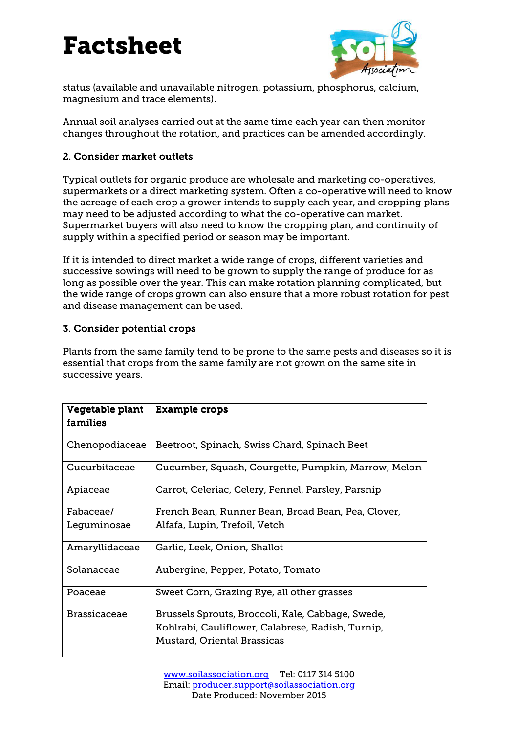

status (available and unavailable nitrogen, potassium, phosphorus, calcium, magnesium and trace elements).

Annual soil analyses carried out at the same time each year can then monitor changes throughout the rotation, and practices can be amended accordingly.

#### 2. Consider market outlets

Typical outlets for organic produce are wholesale and marketing co-operatives, supermarkets or a direct marketing system. Often a co-operative will need to know the acreage of each crop a grower intends to supply each year, and cropping plans may need to be adjusted according to what the co-operative can market. Supermarket buyers will also need to know the cropping plan, and continuity of supply within a specified period or season may be important.

If it is intended to direct market a wide range of crops, different varieties and successive sowings will need to be grown to supply the range of produce for as long as possible over the year. This can make rotation planning complicated, but the wide range of crops grown can also ensure that a more robust rotation for pest and disease management can be used.

# 3. Consider potential crops

Plants from the same family tend to be prone to the same pests and diseases so it is essential that crops from the same family are not grown on the same site in successive years.

| Vegetable plant<br>families | <b>Example crops</b>                                |
|-----------------------------|-----------------------------------------------------|
| Chenopodiaceae              | Beetroot, Spinach, Swiss Chard, Spinach Beet        |
| Cucurbitaceae               | Cucumber, Squash, Courgette, Pumpkin, Marrow, Melon |
| Apiaceae                    | Carrot, Celeriac, Celery, Fennel, Parsley, Parsnip  |
| Fabaceae/                   | French Bean, Runner Bean, Broad Bean, Pea, Clover,  |
| Leguminosae                 | Alfafa, Lupin, Trefoil, Vetch                       |
| Amaryllidaceae              | Garlic, Leek, Onion, Shallot                        |
| Solanaceae                  | Aubergine, Pepper, Potato, Tomato                   |
| Poaceae                     | Sweet Corn, Grazing Rye, all other grasses          |
| <b>Brassicaceae</b>         | Brussels Sprouts, Broccoli, Kale, Cabbage, Swede,   |
|                             | Kohlrabi, Cauliflower, Calabrese, Radish, Turnip,   |
|                             | Mustard, Oriental Brassicas                         |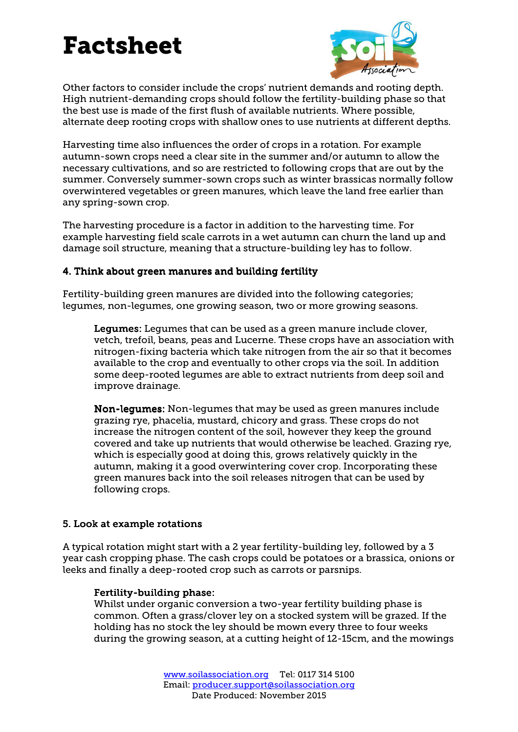

Other factors to consider include the crops' nutrient demands and rooting depth. High nutrient-demanding crops should follow the fertility-building phase so that the best use is made of the first flush of available nutrients. Where possible, alternate deep rooting crops with shallow ones to use nutrients at different depths.

Harvesting time also influences the order of crops in a rotation. For example autumn-sown crops need a clear site in the summer and/or autumn to allow the necessary cultivations, and so are restricted to following crops that are out by the summer. Conversely summer-sown crops such as winter brassicas normally follow overwintered vegetables or green manures, which leave the land free earlier than any spring-sown crop.

The harvesting procedure is a factor in addition to the harvesting time. For example harvesting field scale carrots in a wet autumn can churn the land up and damage soil structure, meaning that a structure-building ley has to follow.

### 4. Think about green manures and building fertility

Fertility-building green manures are divided into the following categories; legumes, non-legumes, one growing season, two or more growing seasons.

Legumes: Legumes that can be used as a green manure include clover, vetch, trefoil, beans, peas and Lucerne. These crops have an association with nitrogen-fixing bacteria which take nitrogen from the air so that it becomes available to the crop and eventually to other crops via the soil. In addition some deep-rooted legumes are able to extract nutrients from deep soil and improve drainage.

Non-lequmes: Non-lequmes that may be used as green manures include grazing rye, phacelia, mustard, chicory and grass. These crops do not increase the nitrogen content of the soil, however they keep the ground covered and take up nutrients that would otherwise be leached. Grazing rye, which is especially good at doing this, grows relatively quickly in the autumn, making it a good overwintering cover crop. Incorporating these green manures back into the soil releases nitrogen that can be used by following crops.

#### 5. Look at example rotations

A typical rotation might start with a 2 year fertility-building ley, followed by a 3 year cash cropping phase. The cash crops could be potatoes or a brassica, onions or leeks and finally a deep-rooted crop such as carrots or parsnips.

#### Fertility-building phase:

Whilst under organic conversion a two-year fertility building phase is common. Often a grass/clover ley on a stocked system will be grazed. If the holding has no stock the ley should be mown every three to four weeks during the growing season, at a cutting height of 12-15cm, and the mowings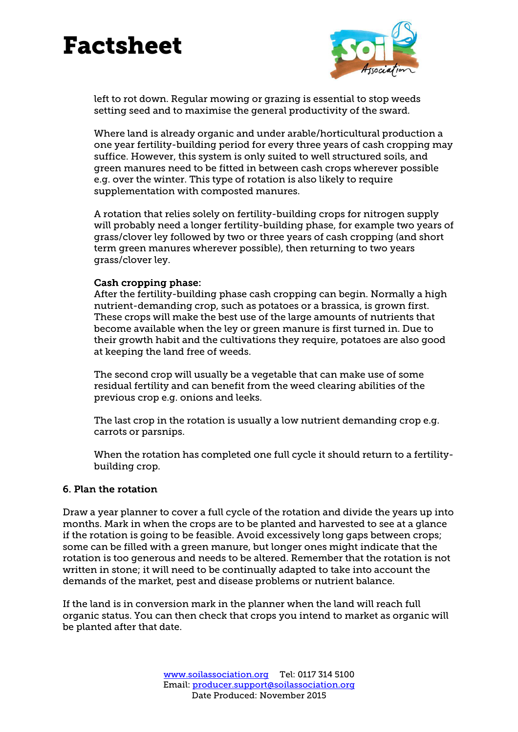

left to rot down. Regular mowing or grazing is essential to stop weeds setting seed and to maximise the general productivity of the sward.

Where land is already organic and under arable/horticultural production a one year fertility-building period for every three years of cash cropping may suffice. However, this system is only suited to well structured soils, and green manures need to be fitted in between cash crops wherever possible e.g. over the winter. This type of rotation is also likely to require supplementation with composted manures.

A rotation that relies solely on fertility-building crops for nitrogen supply will probably need a longer fertility-building phase, for example two years of grass/clover ley followed by two or three years of cash cropping (and short term green manures wherever possible), then returning to two years grass/clover ley.

#### Cash cropping phase:

After the fertility-building phase cash cropping can begin. Normally a high nutrient-demanding crop, such as potatoes or a brassica, is grown first. These crops will make the best use of the large amounts of nutrients that become available when the ley or green manure is first turned in. Due to their growth habit and the cultivations they require, potatoes are also good at keeping the land free of weeds.

The second crop will usually be a vegetable that can make use of some residual fertility and can benefit from the weed clearing abilities of the previous crop e.g. onions and leeks.

The last crop in the rotation is usually a low nutrient demanding crop e.g. carrots or parsnips.

When the rotation has completed one full cycle it should return to a fertilitybuilding crop.

#### 6. Plan the rotation

Draw a year planner to cover a full cycle of the rotation and divide the years up into months. Mark in when the crops are to be planted and harvested to see at a glance if the rotation is going to be feasible. Avoid excessively long gaps between crops; some can be filled with a green manure, but longer ones might indicate that the rotation is too generous and needs to be altered. Remember that the rotation is not written in stone; it will need to be continually adapted to take into account the demands of the market, pest and disease problems or nutrient balance.

If the land is in conversion mark in the planner when the land will reach full organic status. You can then check that crops you intend to market as organic will be planted after that date.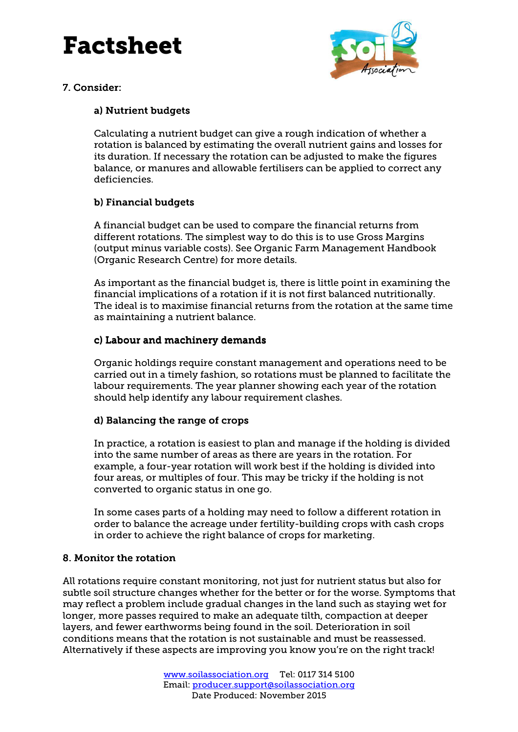

### 7. Consider:

### a) Nutrient budgets

Calculating a nutrient budget can give a rough indication of whether a rotation is balanced by estimating the overall nutrient gains and losses for its duration. If necessary the rotation can be adjusted to make the figures balance, or manures and allowable fertilisers can be applied to correct any deficiencies.

#### b) Financial budgets

A financial budget can be used to compare the financial returns from different rotations. The simplest way to do this is to use Gross Margins (output minus variable costs). See Organic Farm Management Handbook (Organic Research Centre) for more details.

As important as the financial budget is, there is little point in examining the financial implications of a rotation if it is not first balanced nutritionally. The ideal is to maximise financial returns from the rotation at the same time as maintaining a nutrient balance.

#### c) Labour and machinery demands

Organic holdings require constant management and operations need to be carried out in a timely fashion, so rotations must be planned to facilitate the labour requirements. The year planner showing each year of the rotation should help identify any labour requirement clashes.

#### d) Balancing the range of crops

In practice, a rotation is easiest to plan and manage if the holding is divided into the same number of areas as there are years in the rotation. For example, a four-year rotation will work best if the holding is divided into four areas, or multiples of four. This may be tricky if the holding is not converted to organic status in one go.

In some cases parts of a holding may need to follow a different rotation in order to balance the acreage under fertility-building crops with cash crops in order to achieve the right balance of crops for marketing.

#### 8. Monitor the rotation

All rotations require constant monitoring, not just for nutrient status but also for subtle soil structure changes whether for the better or for the worse. Symptoms that may reflect a problem include gradual changes in the land such as staying wet for longer, more passes required to make an adequate tilth, compaction at deeper layers, and fewer earthworms being found in the soil. Deterioration in soil conditions means that the rotation is not sustainable and must be reassessed. Alternatively if these aspects are improving you know you're on the right track!